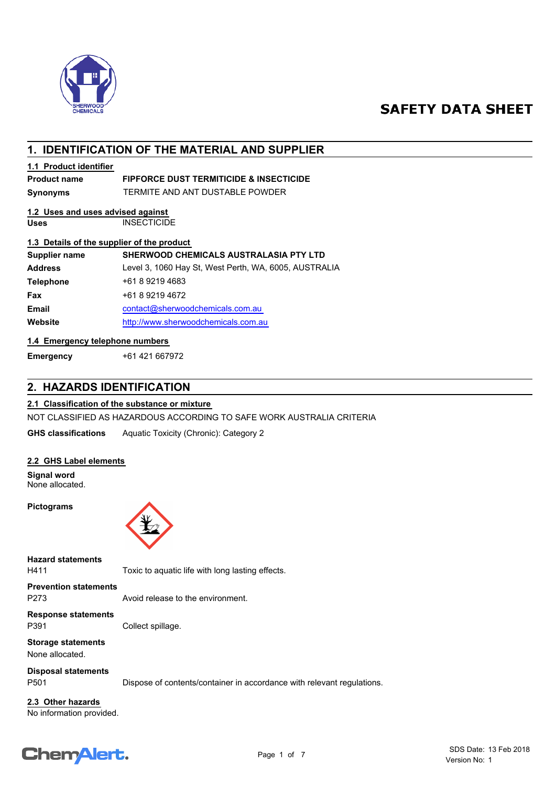

# **SAFETY DATA SHEET**

# **1. IDENTIFICATION OF THE MATERIAL AND SUPPLIER**

## **1.1 Product identifier**

## **Product name FIPFORCE DUST TERMITICIDE & INSECTICIDE**

**Synonyms** TERMITE AND ANT DUSTABLE POWDER

## **1.2 Uses and uses advised against**

**Uses** INSECTICIDE

## **1.3 Details of the supplier of the product**

| Supplier name    | <b>SHERWOOD CHEMICALS AUSTRALASIA PTY LTD</b>         |
|------------------|-------------------------------------------------------|
| <b>Address</b>   | Level 3, 1060 Hay St, West Perth, WA, 6005, AUSTRALIA |
| <b>Telephone</b> | +61 8 9219 4683                                       |
| <b>Fax</b>       | +61 8 9219 4672                                       |
| <b>Email</b>     | contact@sherwoodchemicals.com.au                      |
| Website          | http://www.sherwoodchemicals.com.au                   |
|                  |                                                       |

## **1.4 Emergency telephone numbers**

**Emergency** +61 421 667972

# **2. HAZARDS IDENTIFICATION**

## **2.1 Classification of the substance or mixture**

NOT CLASSIFIED AS HAZARDOUS ACCORDING TO SAFE WORK AUSTRALIA CRITERIA

**GHS classifications** Aquatic Toxicity (Chronic): Category 2

## **2.2 GHS Label elements**

**Signal word** None allocated.

#### **Pictograms**



**Hazard statements**

H411 Toxic to aquatic life with long lasting effects.

P273 Avoid release to the environment. **Prevention statements**

**Response statements**

P391 Collect spillage.

**Storage statements** None allocated.

**Disposal statements**

P501 Dispose of contents/container in accordance with relevant regulations.

No information provided. **2.3 Other hazards**

# Chemalert.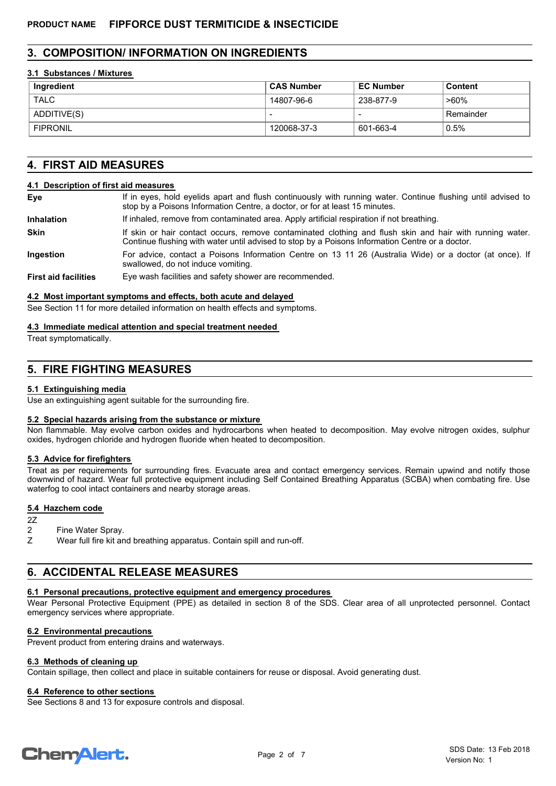## **3. COMPOSITION/ INFORMATION ON INGREDIENTS**

#### **3.1 Substances / Mixtures**

| Ingredient      | ⊧ CAS Number | <b>EC Number</b> | Content   |
|-----------------|--------------|------------------|-----------|
| <b>TALC</b>     | 14807-96-6   | 238-877-9        | >60%      |
| ADDITIVE(S)     |              |                  | Remainder |
| <b>FIPRONIL</b> | 120068-37-3  | 601-663-4        | $0.5\%$   |

# **4. FIRST AID MEASURES**

#### **4.1 Description of first aid measures**

| Eye                         | If in eyes, hold eyelids apart and flush continuously with running water. Continue flushing until advised to<br>stop by a Poisons Information Centre, a doctor, or for at least 15 minutes.                 |
|-----------------------------|-------------------------------------------------------------------------------------------------------------------------------------------------------------------------------------------------------------|
| <b>Inhalation</b>           | If inhaled, remove from contaminated area. Apply artificial respiration if not breathing.                                                                                                                   |
| <b>Skin</b>                 | If skin or hair contact occurs, remove contaminated clothing and flush skin and hair with running water.<br>Continue flushing with water until advised to stop by a Poisons Information Centre or a doctor. |
| Ingestion                   | For advice, contact a Poisons Information Centre on 13 11 26 (Australia Wide) or a doctor (at once). If<br>swallowed, do not induce vomiting.                                                               |
| <b>First aid facilities</b> | Eve wash facilities and safety shower are recommended.                                                                                                                                                      |

# **4.2 Most important symptoms and effects, both acute and delayed**

See Section 11 for more detailed information on health effects and symptoms.

#### **4.3 Immediate medical attention and special treatment needed**

Treat symptomatically.

# **5. FIRE FIGHTING MEASURES**

#### **5.1 Extinguishing media**

Use an extinguishing agent suitable for the surrounding fire.

#### **5.2 Special hazards arising from the substance or mixture**

Non flammable. May evolve carbon oxides and hydrocarbons when heated to decomposition. May evolve nitrogen oxides, sulphur oxides, hydrogen chloride and hydrogen fluoride when heated to decomposition.

## **5.3 Advice for firefighters**

Treat as per requirements for surrounding fires. Evacuate area and contact emergency services. Remain upwind and notify those downwind of hazard. Wear full protective equipment including Self Contained Breathing Apparatus (SCBA) when combating fire. Use waterfog to cool intact containers and nearby storage areas.

#### **5.4 Hazchem code**

- 2Z
- 2 Fine Water Spray.
- Z Wear full fire kit and breathing apparatus. Contain spill and run-off.

# **6. ACCIDENTAL RELEASE MEASURES**

# **6.1 Personal precautions, protective equipment and emergency procedures**

Wear Personal Protective Equipment (PPE) as detailed in section 8 of the SDS. Clear area of all unprotected personnel. Contact emergency services where appropriate.

# **6.2 Environmental precautions**

Prevent product from entering drains and waterways.

## **6.3 Methods of cleaning up**

Contain spillage, then collect and place in suitable containers for reuse or disposal. Avoid generating dust.

## **6.4 Reference to other sections**

See Sections 8 and 13 for exposure controls and disposal.

# **ChemAlert.**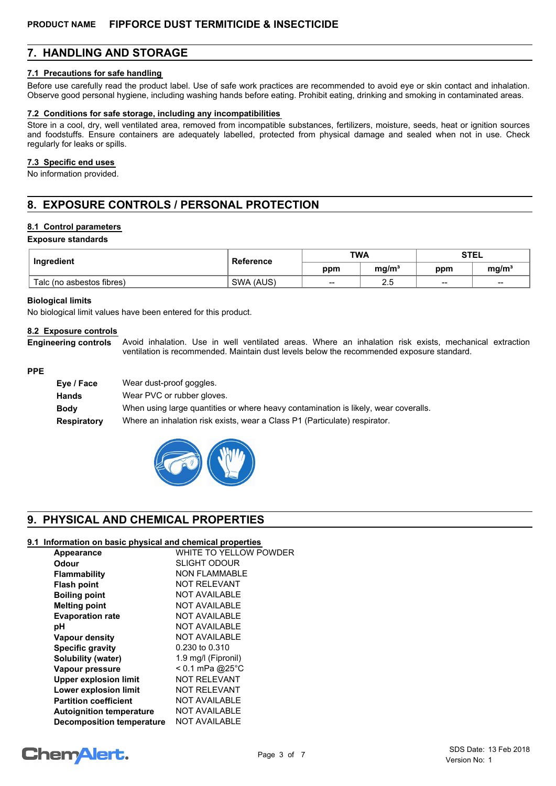# **7. HANDLING AND STORAGE**

#### **7.1 Precautions for safe handling**

Before use carefully read the product label. Use of safe work practices are recommended to avoid eye or skin contact and inhalation. Observe good personal hygiene, including washing hands before eating. Prohibit eating, drinking and smoking in contaminated areas.

#### **7.2 Conditions for safe storage, including any incompatibilities**

Store in a cool, dry, well ventilated area, removed from incompatible substances, fertilizers, moisture, seeds, heat or ignition sources and foodstuffs. Ensure containers are adequately labelled, protected from physical damage and sealed when not in use. Check regularly for leaks or spills.

#### **7.3 Specific end uses**

No information provided.

# **8. EXPOSURE CONTROLS / PERSONAL PROTECTION**

### **8.1 Control parameters**

**Exposure standards**

| Ingredient                | <b>Reference</b> | <b>TWA</b> |                   | <b>STEL</b> |                   |
|---------------------------|------------------|------------|-------------------|-------------|-------------------|
|                           |                  | ppm        | mq/m <sup>3</sup> | ppm         | mq/m <sup>3</sup> |
| Talc (no asbestos fibres) | SWA (AUS)        | --         | ن.ء               | $- -$       | $- -$             |

#### **Biological limits**

No biological limit values have been entered for this product.

#### **8.2 Exposure controls**

Avoid inhalation. Use in well ventilated areas. Where an inhalation risk exists, mechanical extraction ventilation is recommended. Maintain dust levels below the recommended exposure standard. **Engineering controls**

#### **PPE**

| Eye / Face  | Wear dust-proof goggles.                                                            |
|-------------|-------------------------------------------------------------------------------------|
| Hands       | Wear PVC or rubber gloves.                                                          |
| <b>Body</b> | When using large quantities or where heavy contamination is likely, wear coveralls. |
| Respiratory | Where an inhalation risk exists, wear a Class P1 (Particulate) respirator.          |



# **9. PHYSICAL AND CHEMICAL PROPERTIES**

### **9.1 Information on basic physical and chemical properties**

| Appearance                       | WHITE TO YELLOW POWDER |
|----------------------------------|------------------------|
| Odour                            | <b>SLIGHT ODOUR</b>    |
| <b>Flammability</b>              | <b>NON FLAMMABLE</b>   |
| <b>Flash point</b>               | <b>NOT RELEVANT</b>    |
| <b>Boiling point</b>             | <b>NOT AVAILABLE</b>   |
| <b>Melting point</b>             | <b>NOT AVAILABLE</b>   |
| <b>Evaporation rate</b>          | <b>NOT AVAILABLE</b>   |
| рH                               | <b>NOT AVAILABLE</b>   |
| Vapour density                   | <b>NOT AVAILABLE</b>   |
| <b>Specific gravity</b>          | 0.230 to 0.310         |
| Solubility (water)               | 1.9 mg/l (Fipronil)    |
| Vapour pressure                  | $< 0.1$ mPa @25°C      |
| <b>Upper explosion limit</b>     | <b>NOT RELEVANT</b>    |
| Lower explosion limit            | <b>NOT RELEVANT</b>    |
| <b>Partition coefficient</b>     | <b>NOT AVAILABLE</b>   |
| <b>Autoignition temperature</b>  | NOT AVAILABLE          |
| <b>Decomposition temperature</b> | NOT AVAILABLE          |

# **ChemAlert.**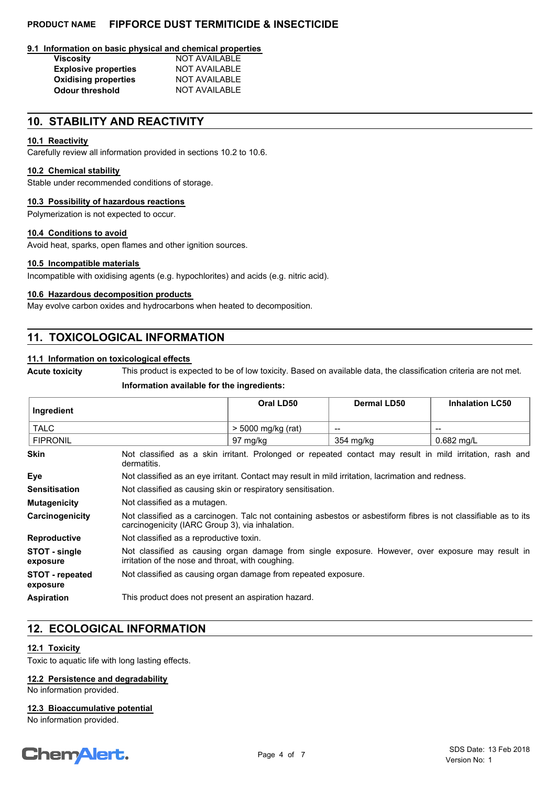## **PRODUCT NAME FIPFORCE DUST TERMITICIDE & INSECTICIDE**

#### **9.1 Information on basic physical and chemical properties**

| <b>Viscosity</b>            | <b>NOT AVAILABLE</b> |
|-----------------------------|----------------------|
| <b>Explosive properties</b> | <b>NOT AVAILABLE</b> |
| <b>Oxidising properties</b> | <b>NOT AVAILABLE</b> |
| <b>Odour threshold</b>      | <b>NOT AVAILABLE</b> |

# **10. STABILITY AND REACTIVITY**

## **10.1 Reactivity**

Carefully review all information provided in sections 10.2 to 10.6.

## **10.2 Chemical stability**

Stable under recommended conditions of storage.

#### **10.3 Possibility of hazardous reactions**

Polymerization is not expected to occur.

#### **10.4 Conditions to avoid**

Avoid heat, sparks, open flames and other ignition sources.

#### **10.5 Incompatible materials**

Incompatible with oxidising agents (e.g. hypochlorites) and acids (e.g. nitric acid).

## **10.6 Hazardous decomposition products**

May evolve carbon oxides and hydrocarbons when heated to decomposition.

# **11. TOXICOLOGICAL INFORMATION**

## **11.1 Information on toxicological effects**

**Acute toxicity** This product is expected to be of low toxicity. Based on available data, the classification criteria are not met.

#### **Information available for the ingredients:**

| Ingredient                         |                                                                                                                                                                     | Oral LD50            | Dermal LD50 | <b>Inhalation LC50</b> |
|------------------------------------|---------------------------------------------------------------------------------------------------------------------------------------------------------------------|----------------------|-------------|------------------------|
| <b>TALC</b>                        |                                                                                                                                                                     | $>$ 5000 mg/kg (rat) |             | --                     |
| <b>FIPRONIL</b>                    |                                                                                                                                                                     | 97 mg/kg             | 354 mg/kg   | $0.682 \text{ mq/L}$   |
| <b>Skin</b>                        | Not classified as a skin irritant. Prolonged or repeated contact may result in mild irritation, rash and<br>dermatitis.                                             |                      |             |                        |
| Eye                                | Not classified as an eye irritant. Contact may result in mild irritation, lacrimation and redness.                                                                  |                      |             |                        |
| <b>Sensitisation</b>               | Not classified as causing skin or respiratory sensitisation.                                                                                                        |                      |             |                        |
| <b>Mutagenicity</b>                | Not classified as a mutagen.                                                                                                                                        |                      |             |                        |
| Carcinogenicity                    | Not classified as a carcinogen. Talc not containing asbestos or asbestiform fibres is not classifiable as to its<br>carcinogenicity (IARC Group 3), via inhalation. |                      |             |                        |
| <b>Reproductive</b>                | Not classified as a reproductive toxin.                                                                                                                             |                      |             |                        |
| STOT - single<br>exposure          | Not classified as causing organ damage from single exposure. However, over exposure may result in<br>irritation of the nose and throat, with coughing.              |                      |             |                        |
| <b>STOT - repeated</b><br>exposure | Not classified as causing organ damage from repeated exposure.                                                                                                      |                      |             |                        |
| <b>Aspiration</b>                  | This product does not present an aspiration hazard.                                                                                                                 |                      |             |                        |

# **12. ECOLOGICAL INFORMATION**

## **12.1 Toxicity**

Toxic to aquatic life with long lasting effects.

## **12.2 Persistence and degradability**

No information provided.

#### **12.3 Bioaccumulative potential**

No information provided.

# **ChemAlert.**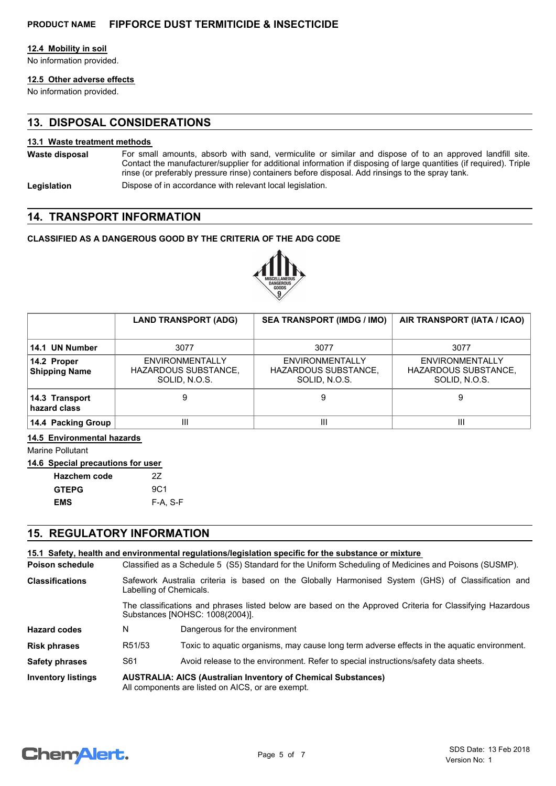### **12.4 Mobility in soil**

No information provided.

# **12.5 Other adverse effects**

No information provided.

# **13. DISPOSAL CONSIDERATIONS**

### **13.1 Waste treatment methods**

- For small amounts, absorb with sand, vermiculite or similar and dispose of to an approved landfill site. Contact the manufacturer/supplier for additional information if disposing of large quantities (if required). Triple rinse (or preferably pressure rinse) containers before disposal. Add rinsings to the spray tank. **Waste disposal**
- Legislation **Dispose of in accordance with relevant local legislation.**

## **14. TRANSPORT INFORMATION**

## **CLASSIFIED AS A DANGEROUS GOOD BY THE CRITERIA OF THE ADG CODE**



|                                     | <b>LAND TRANSPORT (ADG)</b>                                     | <b>SEA TRANSPORT (IMDG / IMO)</b>                        | AIR TRANSPORT (IATA / ICAO)                                     |
|-------------------------------------|-----------------------------------------------------------------|----------------------------------------------------------|-----------------------------------------------------------------|
| 14.1 UN Number                      | 3077                                                            | 3077                                                     | 3077                                                            |
| 14.2 Proper<br><b>Shipping Name</b> | <b>ENVIRONMENTALLY</b><br>HAZARDOUS SUBSTANCE,<br>SOLID, N.O.S. | ENVIRONMENTALLY<br>HAZARDOUS SUBSTANCE,<br>SOLID, N.O.S. | <b>ENVIRONMENTALLY</b><br>HAZARDOUS SUBSTANCE,<br>SOLID, N.O.S. |
| 14.3 Transport<br>hazard class      |                                                                 | 9                                                        | 9                                                               |
| 14.4 Packing Group                  | Ш                                                               | Ш                                                        | Ш                                                               |

#### **14.5 Environmental hazards**

Marine Pollutant

|  | 14.6 Special precautions for user |  |
|--|-----------------------------------|--|
|  |                                   |  |

| <b>Hazchem code</b> | 27              |
|---------------------|-----------------|
| <b>GTEPG</b>        | 9C <sub>1</sub> |
| <b>EMS</b>          | F-A. S-F        |

# **15. REGULATORY INFORMATION**

|                           |                                                                                                                                              | 15.1 Safety, health and environmental regulations/legislation specific for the substance or mixture                           |  |
|---------------------------|----------------------------------------------------------------------------------------------------------------------------------------------|-------------------------------------------------------------------------------------------------------------------------------|--|
| Poison schedule           | Classified as a Schedule 5 (S5) Standard for the Uniform Scheduling of Medicines and Poisons (SUSMP).                                        |                                                                                                                               |  |
| <b>Classifications</b>    |                                                                                                                                              | Safework Australia criteria is based on the Globally Harmonised System (GHS) of Classification and<br>Labelling of Chemicals. |  |
|                           | The classifications and phrases listed below are based on the Approved Criteria for Classifying Hazardous<br>Substances [NOHSC: 1008(2004)]. |                                                                                                                               |  |
| <b>Hazard codes</b>       | N                                                                                                                                            | Dangerous for the environment                                                                                                 |  |
| <b>Risk phrases</b>       | R51/53                                                                                                                                       | Toxic to aquatic organisms, may cause long term adverse effects in the aquatic environment.                                   |  |
| <b>Safety phrases</b>     | S61<br>Avoid release to the environment. Refer to special instructions/safety data sheets.                                                   |                                                                                                                               |  |
| <b>Inventory listings</b> | <b>AUSTRALIA: AICS (Australian Inventory of Chemical Substances)</b><br>All components are listed on AICS, or are exempt.                    |                                                                                                                               |  |

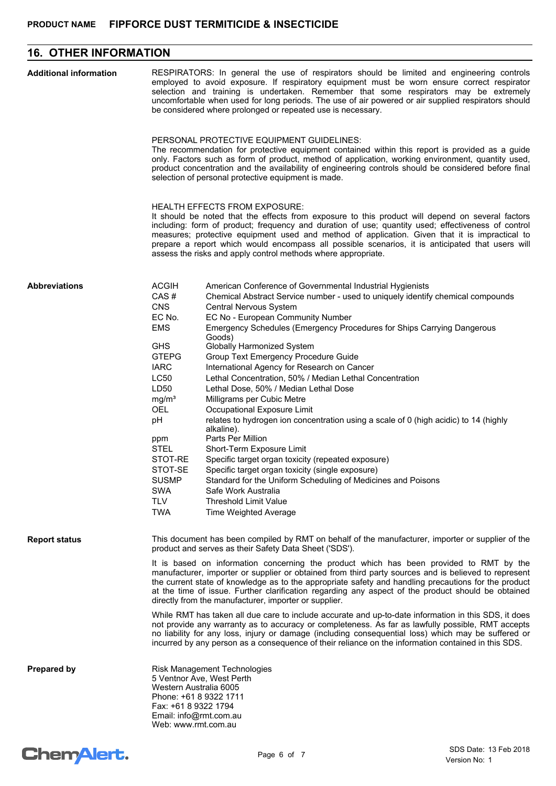# **16. OTHER INFORMATION**

| <b>Additional information</b> | RESPIRATORS: In general the use of respirators should be limited and engineering controls<br>employed to avoid exposure. If respiratory equipment must be worn ensure correct respirator<br>selection and training is undertaken. Remember that some respirators may be extremely<br>uncomfortable when used for long periods. The use of air powered or air supplied respirators should<br>be considered where prolonged or repeated use is necessary.                                                                                                                                                                               |                                                                                                                                                                                                                                                                                                                                                                                                                                                                                                                                                                                                                                                                                                                                                                                                                                                                                                                                                                                                  |  |
|-------------------------------|---------------------------------------------------------------------------------------------------------------------------------------------------------------------------------------------------------------------------------------------------------------------------------------------------------------------------------------------------------------------------------------------------------------------------------------------------------------------------------------------------------------------------------------------------------------------------------------------------------------------------------------|--------------------------------------------------------------------------------------------------------------------------------------------------------------------------------------------------------------------------------------------------------------------------------------------------------------------------------------------------------------------------------------------------------------------------------------------------------------------------------------------------------------------------------------------------------------------------------------------------------------------------------------------------------------------------------------------------------------------------------------------------------------------------------------------------------------------------------------------------------------------------------------------------------------------------------------------------------------------------------------------------|--|
|                               | PERSONAL PROTECTIVE EQUIPMENT GUIDELINES:<br>The recommendation for protective equipment contained within this report is provided as a guide<br>only. Factors such as form of product, method of application, working environment, quantity used,<br>product concentration and the availability of engineering controls should be considered before final<br>selection of personal protective equipment is made.                                                                                                                                                                                                                      |                                                                                                                                                                                                                                                                                                                                                                                                                                                                                                                                                                                                                                                                                                                                                                                                                                                                                                                                                                                                  |  |
|                               | HEALTH EFFECTS FROM EXPOSURE:<br>It should be noted that the effects from exposure to this product will depend on several factors<br>including: form of product; frequency and duration of use; quantity used; effectiveness of control<br>measures; protective equipment used and method of application. Given that it is impractical to<br>prepare a report which would encompass all possible scenarios, it is anticipated that users will<br>assess the risks and apply control methods where appropriate.                                                                                                                        |                                                                                                                                                                                                                                                                                                                                                                                                                                                                                                                                                                                                                                                                                                                                                                                                                                                                                                                                                                                                  |  |
| <b>Abbreviations</b>          | <b>ACGIH</b><br>CAS#<br><b>CNS</b><br>EC No.<br><b>EMS</b><br><b>GHS</b><br><b>GTEPG</b><br><b>IARC</b><br>LC50<br>LD50<br>mg/m <sup>3</sup><br><b>OEL</b><br>pH<br>ppm<br><b>STEL</b><br>STOT-RE<br>STOT-SE<br><b>SUSMP</b><br><b>SWA</b><br><b>TLV</b><br><b>TWA</b>                                                                                                                                                                                                                                                                                                                                                                | American Conference of Governmental Industrial Hygienists<br>Chemical Abstract Service number - used to uniquely identify chemical compounds<br>Central Nervous System<br>EC No - European Community Number<br>Emergency Schedules (Emergency Procedures for Ships Carrying Dangerous<br>Goods)<br>Globally Harmonized System<br>Group Text Emergency Procedure Guide<br>International Agency for Research on Cancer<br>Lethal Concentration, 50% / Median Lethal Concentration<br>Lethal Dose, 50% / Median Lethal Dose<br>Milligrams per Cubic Metre<br>Occupational Exposure Limit<br>relates to hydrogen ion concentration using a scale of 0 (high acidic) to 14 (highly<br>alkaline).<br>Parts Per Million<br>Short-Term Exposure Limit<br>Specific target organ toxicity (repeated exposure)<br>Specific target organ toxicity (single exposure)<br>Standard for the Uniform Scheduling of Medicines and Poisons<br>Safe Work Australia<br>Threshold Limit Value<br>Time Weighted Average |  |
| <b>Report status</b>          | This document has been compiled by RMT on behalf of the manufacturer, importer or supplier of the<br>product and serves as their Safety Data Sheet ('SDS').<br>It is based on information concerning the product which has been provided to RMT by the<br>manufacturer, importer or supplier or obtained from third party sources and is believed to represent<br>the current state of knowledge as to the appropriate safety and handling precautions for the product<br>at the time of issue. Further clarification regarding any aspect of the product should be obtained<br>directly from the manufacturer, importer or supplier. |                                                                                                                                                                                                                                                                                                                                                                                                                                                                                                                                                                                                                                                                                                                                                                                                                                                                                                                                                                                                  |  |
|                               | While RMT has taken all due care to include accurate and up-to-date information in this SDS, it does<br>not provide any warranty as to accuracy or completeness. As far as lawfully possible, RMT accepts<br>no liability for any loss, injury or damage (including consequential loss) which may be suffered or<br>incurred by any person as a consequence of their reliance on the information contained in this SDS.                                                                                                                                                                                                               |                                                                                                                                                                                                                                                                                                                                                                                                                                                                                                                                                                                                                                                                                                                                                                                                                                                                                                                                                                                                  |  |
| Prepared by                   | <b>Risk Management Technologies</b><br>5 Ventnor Ave, West Perth<br>Western Australia 6005<br>Phone: +61 8 9322 1711<br>Fax: +61 8 9322 1794<br>Email: info@rmt.com.au<br>Web: www.rmt.com.au                                                                                                                                                                                                                                                                                                                                                                                                                                         |                                                                                                                                                                                                                                                                                                                                                                                                                                                                                                                                                                                                                                                                                                                                                                                                                                                                                                                                                                                                  |  |

# Chem<sup>Alert.</sup>